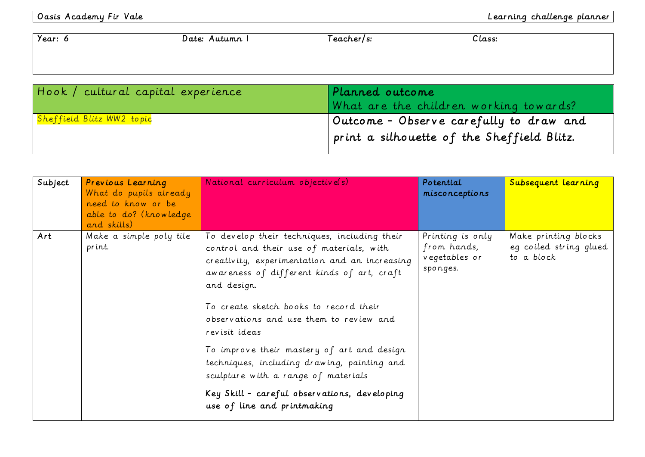| Year: 6                            | Date: Autumn I | Teacher/s:      | Class:                                     |
|------------------------------------|----------------|-----------------|--------------------------------------------|
|                                    |                |                 |                                            |
|                                    |                |                 |                                            |
| Hook / cultural capital experience |                | Planned outcome |                                            |
|                                    |                |                 | What are the children working towards?     |
| Sheffield Blitz WW2 topic          |                |                 | Outcome - Observe carefully to draw and    |
|                                    |                |                 | print a silhouette of the Sheffield Blitz. |

| Subject | Previous Learning<br>What do pupils already<br>need to know or be<br>able to do? (knowledge<br>and skills) | National curriculum objective(s)                                                                                                                                                                                                                                                                                                                                                                                                                                                                                                | Potential<br>misconceptions                                  | Subsequent learning                                          |
|---------|------------------------------------------------------------------------------------------------------------|---------------------------------------------------------------------------------------------------------------------------------------------------------------------------------------------------------------------------------------------------------------------------------------------------------------------------------------------------------------------------------------------------------------------------------------------------------------------------------------------------------------------------------|--------------------------------------------------------------|--------------------------------------------------------------|
| Art     | Make a simple poly tile<br>print.                                                                          | To develop their techniques, including their<br>control and their use of materials, with<br>creativity, experimentation and an increasing<br>awareness of different kinds of art, craft<br>and design.<br>To create sketch books to record their<br>observations and use them to review and<br>revisit ideas<br>To improve their mastery of art and design<br>techniques, including drawing, painting and<br>sculpture with a range of materials<br>Key Skill - careful observations, developing<br>use of line and printmaking | Printing is only<br>from hands,<br>vegetables or<br>sponges. | Make printing blocks<br>eg coiled string glued<br>to a block |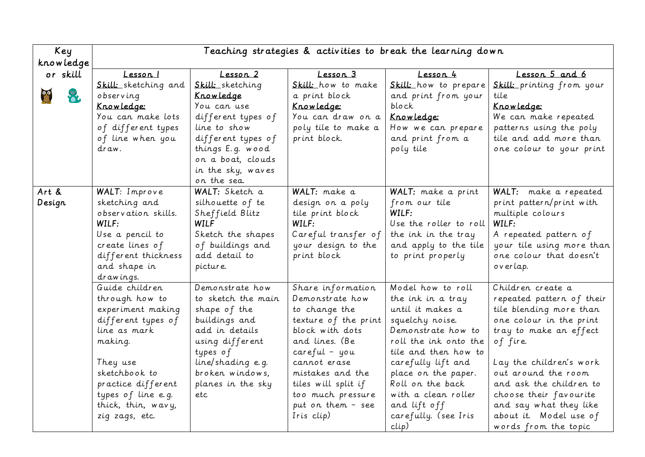| Key       | Teaching strategies & activities to break the learning down |                    |                      |                        |                           |
|-----------|-------------------------------------------------------------|--------------------|----------------------|------------------------|---------------------------|
| knowledge |                                                             |                    |                      |                        |                           |
| or skill  | Lesson                                                      | Lesson 2           | Lesson 3             | <u> Lesson 4</u>       | Lesson 5 and 6            |
|           | Skill: sketching and                                        | Skill: sketching   | Skill: how to make   | Skill: how to prepare  | Skill: printing from your |
| $\bullet$ | observing                                                   | <u>Knowledge</u>   | a print block        | and print from your    | tile                      |
|           | Knowledge:                                                  | You can use        | Knowledge:           | block                  | Knowledge:                |
|           | You can make lots                                           | different types of | You can draw on a    | Knowledge:             | We can make repeated      |
|           | of different types                                          | line to show       | poly tile to make a  | How we can prepare     | patterns using the poly   |
|           | of line when you                                            | different types of | print block.         | and print from a       | tile and add more than    |
|           | draw.                                                       | things E.g. wood   |                      | poly tile              | one colour to your print  |
|           |                                                             | on a boat, clouds  |                      |                        |                           |
|           |                                                             | in the sky, waves  |                      |                        |                           |
|           |                                                             | on the sea.        |                      |                        |                           |
| Art &     | WALT: Improve                                               | WALT: Sketch a     | WALT: make a         | WALT: make a print     | WALT: make a repeated     |
| Design    | sketching and                                               | silhouette of te   | design on a poly     | from our tile          | print pattern/print with  |
|           | observation skills.                                         | Sheffield Blitz    | tile print block     | WILF:                  | multiple colours          |
|           | WILF:                                                       | <b>WILF</b>        | WILF:                | Use the roller to roll | WILF:                     |
|           | Use a pencil to                                             | Sketch the shapes  | Careful transfer of  | the ink in the tray    | A repeated pattern of     |
|           | create lines of                                             | of buildings and   | your design to the   | and apply to the tile  | your tile using more than |
|           | different thickness                                         | add detail to      | print block          | to print properly      | one colour that doesn't   |
|           | and shape in                                                | picture.           |                      |                        | overlap.                  |
|           | drawings.                                                   |                    |                      |                        |                           |
|           | Guide children                                              | Demonstrate how    | Share information    | Model how to roll      | Children create a         |
|           | through how to                                              | to sketch the main | Demonstrate how      | the ink in a tray      | repeated pattern of their |
|           | experiment making                                           | shape of the       | to change the        | until it makes a       | tile blending more than   |
|           | different types of                                          | buildings and      | texture of the print | squelchy noise.        | one colour in the print   |
|           | line as mark                                                | add in details     | block with dots      | Demonstrate how to     | tray to make an effect    |
|           | making.                                                     | using different    | and lines. (Be       | roll the ink onto the  | of fire.                  |
|           |                                                             | types of           | $careful - you$      | tile and then how to   |                           |
|           | They use                                                    | line/shading e.g.  | cannot erase         | carefully lift and     | Lay the children's work   |
|           | sketchbook to                                               | broken windows,    | mistakes and the     | place on the paper.    | out around the room       |
|           | practice different                                          | planes in the sky  | tiles will split if  | Roll on the back       | and ask the children to   |
|           | types of line e.g.                                          | etc                | too much pressure    | with a clean roller    | choose their favourite    |
|           | thick, thin, wavy,                                          |                    | put on them - see    | and lift off           | and say what they like    |
|           | zig zags, etc.                                              |                    | Iris clip)           | carefully. (see Iris   | about it. Model use of    |
|           |                                                             |                    |                      | clip)                  | words from the topic      |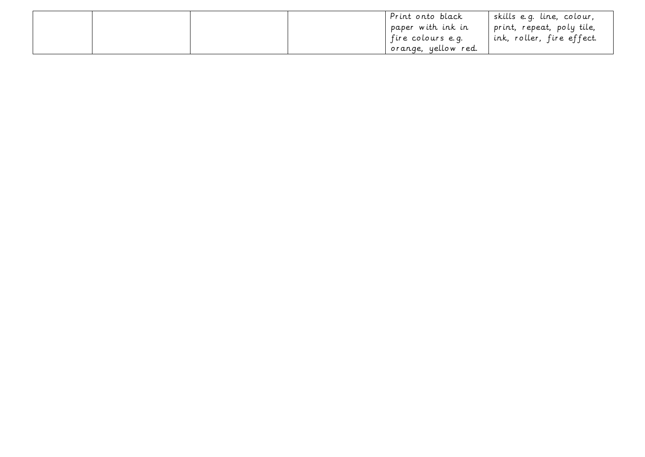|  |  | Print onto black    | I skills e.g. line, colour, |
|--|--|---------------------|-----------------------------|
|  |  | paper with ink in   | print, repeat, poly tile,   |
|  |  | fire colours e.g.   | ' ink, roller, fire effect. |
|  |  | orange, yellow red. |                             |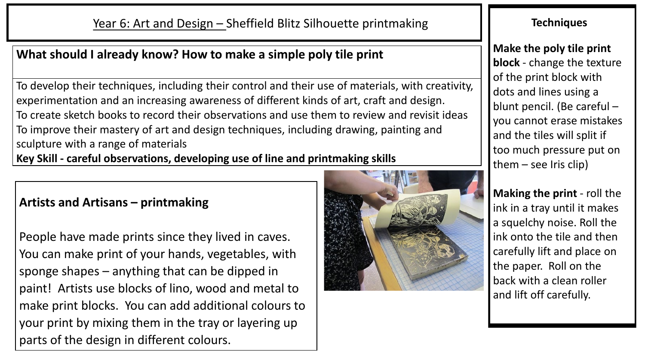## **What should I already know? How to make a simple poly tile print**

To develop their techniques, including their control and their use of materials, with creativity, experimentation and an increasing awareness of different kinds of art, craft and design. To create sketch books to record their observations and use them to review and revisit ideas To improve their mastery of art and design techniques, including drawing, painting and sculpture with a range of materials **Key Skill - careful observations, developing use of line and printmaking skills**

## **Artists and Artisans – printmaking**

People have made prints since they lived in caves. You can make print of your hands, vegetables, with sponge shapes – anything that can be dipped in paint! Artists use blocks of lino, wood and metal to make print blocks. You can add additional colours to your print by mixing them in the tray or layering up parts of the design in different colours.



## **Techniques**

**Make the poly tile print block** - change the texture of the print block with dots and lines using a blunt pencil. (Be careful – you cannot erase mistakes and the tiles will split if too much pressure put on them  $-$  see Iris clip)

**Making the print** - roll the ink in a tray until it makes a squelchy noise. Roll the ink onto the tile and then carefully lift and place on the paper. Roll on the back with a clean roller and lift off carefully.